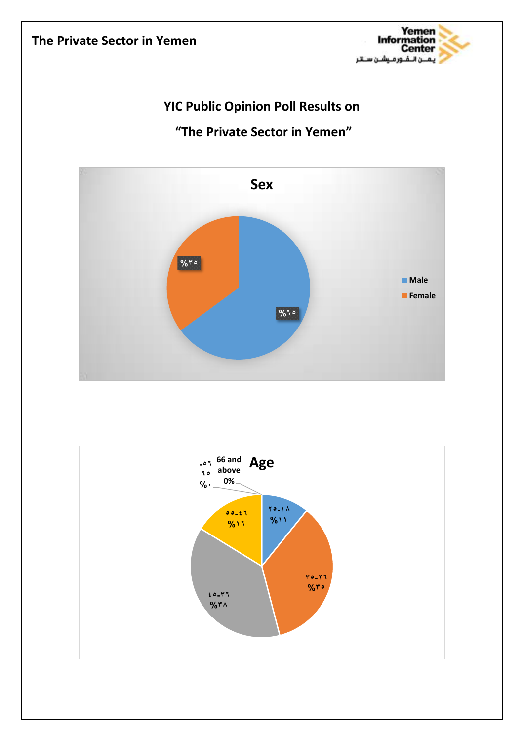## **The Private Sector in Yemen**



## **YIC Public Opinion Poll Results on**

## **"The Private Sector in Yemen"**



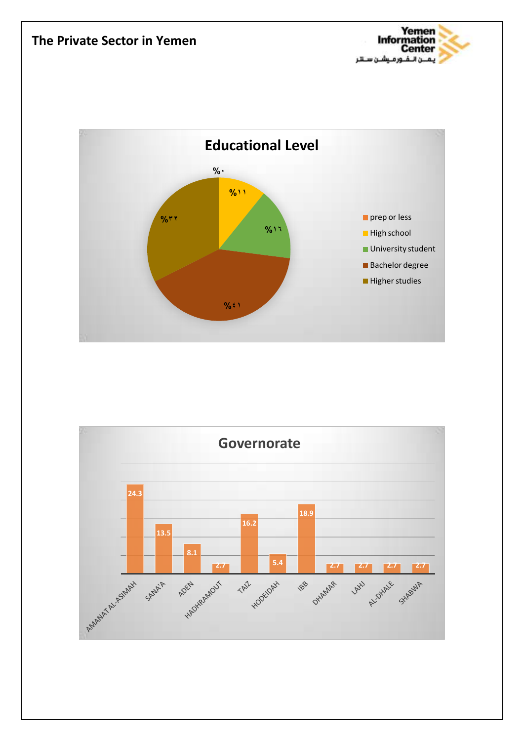



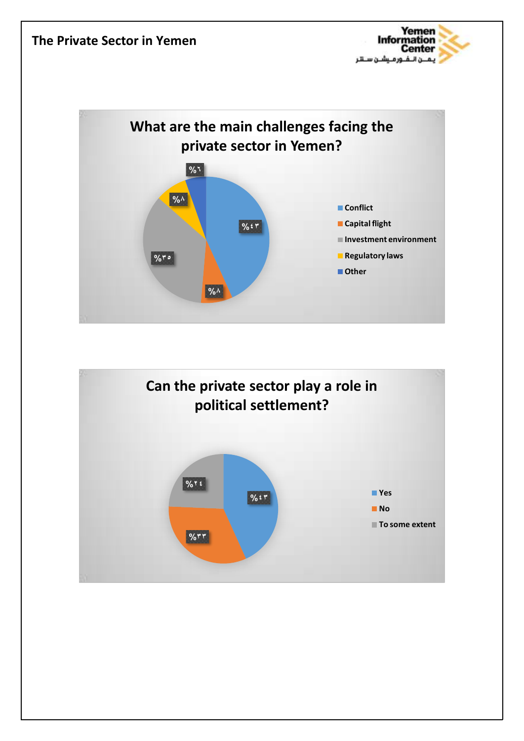



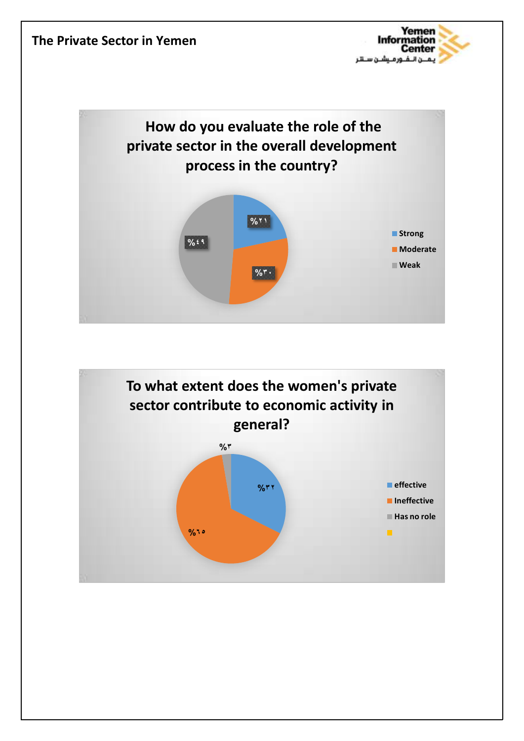



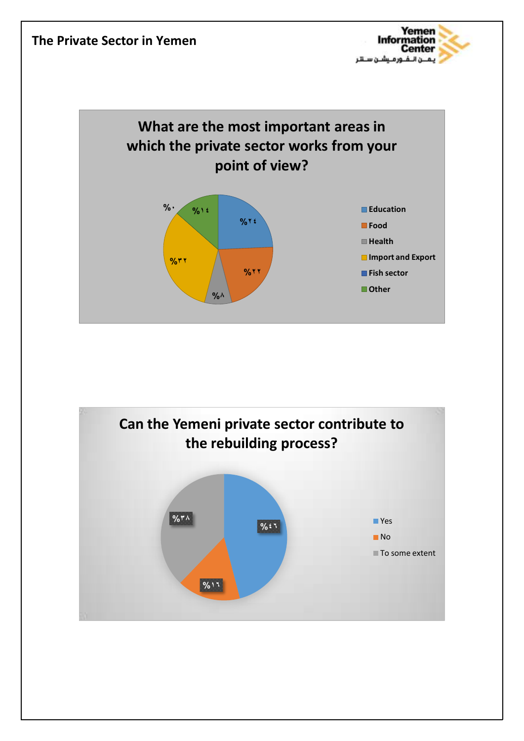